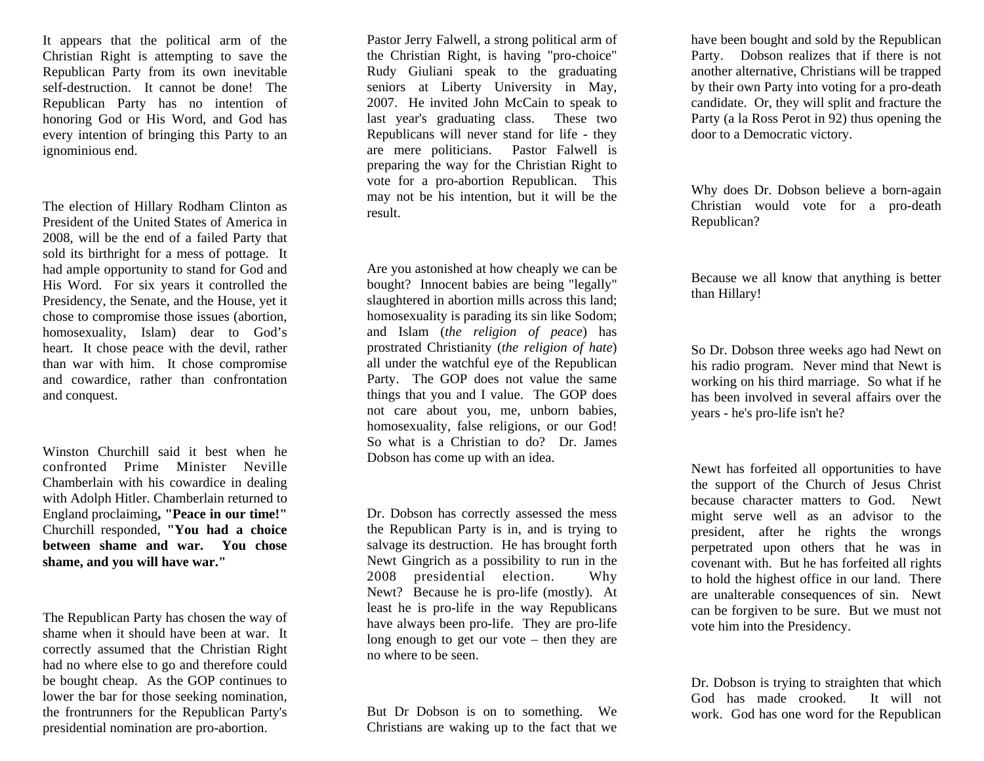It appears that the political arm of the Christian Right is attempting to save the Republican Party from its own inevitable self-destruction. It cannot be done! The Republican Party has no intention of honoring God or His Word, and God has every intention of bringing this Party to an ignominious end.

The election of Hillary Rodham Clinton as President of the United States of America in 2008, will be the end of a failed Party that sold its birthright for a mess of pottage. It had ample opportunity to stand for God and His Word. For six years it controlled the Presidency, the Senate, and the House, yet it chose to compromise those issues (abortion, homosexuality, Islam) dear to God's heart. It chose peace with the devil, rather than war with him. It chose compromise and cowardice, rather than confrontation and conquest.

Winston Churchill said it best when he confronted Prime Minister Neville Chamberlain with his cowardice in dealing with Adolph Hitler. Chamberlain returned to England proclaiming**, "Peace in our time!"**  Churchill responded, **"You had a choice between shame and war. You chose shame, and you will have war."** 

The Republican Party has chosen the way of shame when it should have been at war. It correctly assumed that the Christian Right had no where else to go and therefore could be bought cheap. As the GOP continues to lower the bar for those seeking nomination, the frontrunners for the Republican Party's presidential nomination are pro-abortion.

Pastor Jerry Falwell, a strong political arm of the Christian Right, is having "pro-choice" Rudy Giuliani speak to the graduating seniors at Liberty University in May, 2007. He invited John McCain to speak to last year's graduating class. These two Republicans will never stand for life - they are mere politicians. Pastor Falwell is preparing the way for the Christian Right to vote for a pro-abortion Republican. This may not be his intention, but it will be the result.

Are you astonished at how cheaply we can be bought? Innocent babies are being "legally" slaughtered in abortion mills across this land; homosexuality is parading its sin like Sodom; and Islam (*the religion of peace*) has prostrated Christianity (*the religion of hate*) all under the watchful eye of the Republican Party. The GOP does not value the same things that you and I value. The GOP does not care about you, me, unborn babies, homosexuality, false religions, or our God! So what is a Christian to do? Dr. James Dobson has come up with an idea.

Dr. Dobson has correctly assessed the mess the Republican Party is in, and is trying to salvage its destruction. He has brought forth Newt Gingrich as a possibility to run in the 2008 presidential election. Why Newt? Because he is pro-life (mostly). At least he is pro-life in the way Republicans have always been pro-life. They are pro-life long enough to get our vote – then they are no where to be seen.

But Dr Dobson is on to something. We Christians are waking up to the fact that we

have been bought and sold by the Republican Party. Dobson realizes that if there is not another alternative, Christians will be trapped by their own Party into voting for a pro-death candidate. Or, they will split and fracture the Party (a la Ross Perot in 92) thus opening the door to a Democratic victory.

Why does Dr. Dobson believe a born-again Christian would vote for a pro-death Republican?

Because we all know that anything is better than Hillary!

So Dr. Dobson three weeks ago had Newt on his radio program. Never mind that Newt is working on his third marriage. So what if he has been involved in several affairs over the years - he's pro-life isn't he?

Newt has forfeited all opportunities to have the support of the Church of Jesus Christ because character matters to God. Newt might serve well as an advisor to the president, after he rights the wrongs perpetrated upon others that he was in covenant with. But he has forfeited all rights to hold the highest office in our land. There are unalterable consequences of sin. Newt can be forgiven to be sure. But we must not vote him into the Presidency.

Dr. Dobson is trying to straighten that which God has made crooked. It will not work. God has one word for the Republican